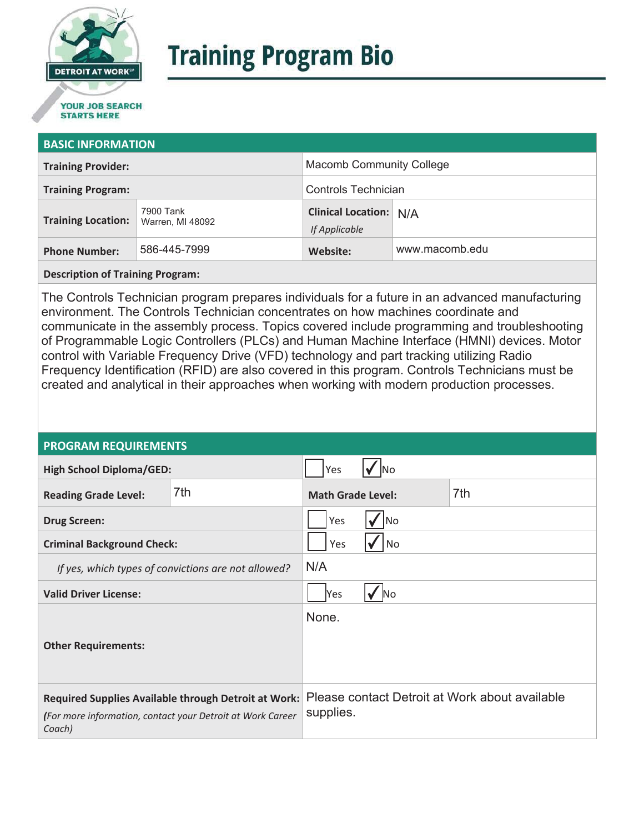

# **Training Program Bio**

## **STARTS HERE**

#### **BASIC INFORMATION**

| <b>Training Provider:</b> |                               | <b>Macomb Community College</b>                |                |
|---------------------------|-------------------------------|------------------------------------------------|----------------|
| <b>Training Program:</b>  |                               | Controls Technician                            |                |
| <b>Training Location:</b> | 7900 Tank<br>Warren, MI 48092 | <b>Clinical Location: N/A</b><br>If Applicable |                |
| <b>Phone Number:</b>      | 586-445-7999                  | Website:                                       | www.macomb.edu |

**Description of Training Program:** 

The Controls Technician program prepares individuals for a future in an advanced manufacturing environment. The Controls Technician concentrates on how machines coordinate and communicate in the assembly process. Topics covered include programming and troubleshooting of Programmable Logic Controllers (PLCs) and Human Machine Interface (HMNI) devices. Motor control with Variable Frequency Drive (VFD) technology and part tracking utilizing Radio Frequency Identification (RFID) are also covered in this program. Controls Technicians must be created and analytical in their approaches when working with modern production processes.

#### **PROGRAM REQUIREMENTS**

| <b>High School Diploma/GED:</b>                                                                                              |     | Yes                      |  |                                                |
|------------------------------------------------------------------------------------------------------------------------------|-----|--------------------------|--|------------------------------------------------|
| <b>Reading Grade Level:</b>                                                                                                  | 7th | <b>Math Grade Level:</b> |  | 7th                                            |
| <b>Drug Screen:</b>                                                                                                          |     | Yes<br>lNo               |  |                                                |
| <b>Criminal Background Check:</b>                                                                                            |     | Yes<br>No                |  |                                                |
| If yes, which types of convictions are not allowed?                                                                          |     | N/A                      |  |                                                |
| <b>Valid Driver License:</b>                                                                                                 |     | Yes<br>No                |  |                                                |
| <b>Other Requirements:</b>                                                                                                   |     | None.                    |  |                                                |
| Required Supplies Available through Detroit at Work:<br>(For more information, contact your Detroit at Work Career<br>Coach) |     | supplies.                |  | Please contact Detroit at Work about available |